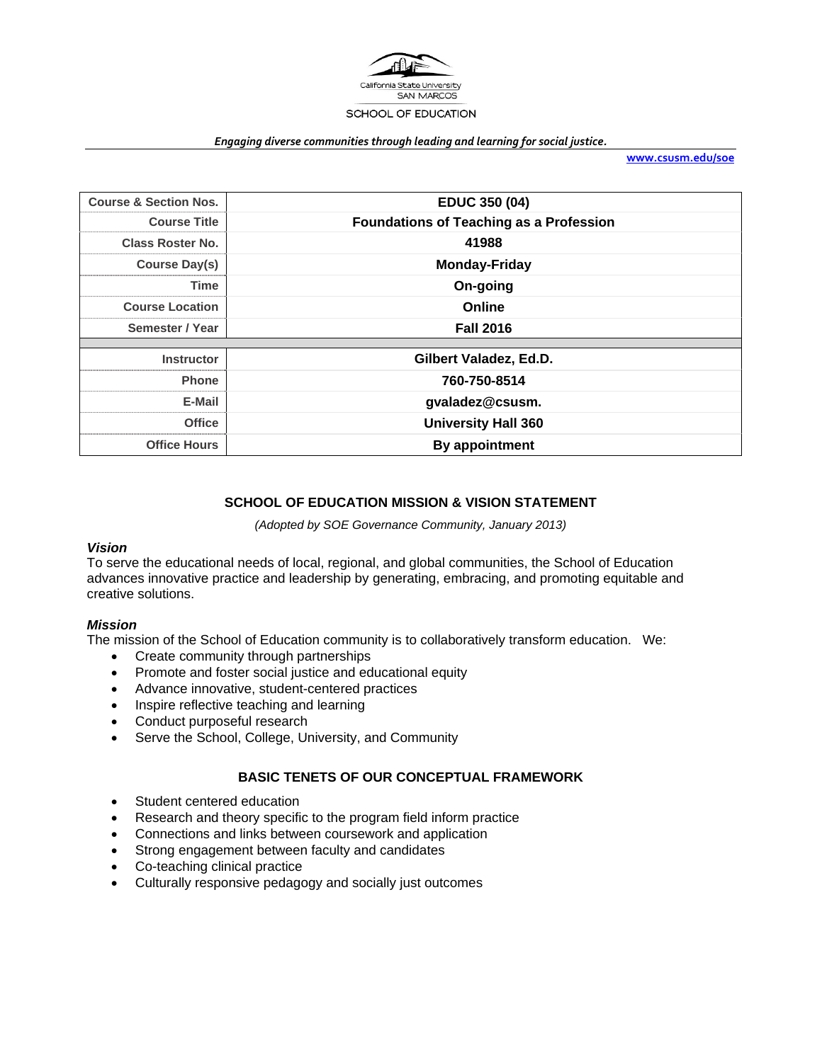

#### *Engaging diverse communities through leading and learning for social justice.*

**www.csusm.edu/soe**

| <b>Course &amp; Section Nos.</b> | <b>EDUC 350 (04)</b>                           |  |  |
|----------------------------------|------------------------------------------------|--|--|
| <b>Course Title</b>              | <b>Foundations of Teaching as a Profession</b> |  |  |
| <b>Class Roster No.</b>          | 41988                                          |  |  |
| <b>Course Day(s)</b>             | <b>Monday-Friday</b>                           |  |  |
| Time                             | On-going                                       |  |  |
| <b>Course Location</b>           | Online                                         |  |  |
| Semester / Year                  | <b>Fall 2016</b>                               |  |  |
|                                  |                                                |  |  |
| <b>Instructor</b>                | Gilbert Valadez, Ed.D.                         |  |  |
| <b>Phone</b>                     | 760-750-8514                                   |  |  |
| E-Mail                           | gvaladez@csusm.                                |  |  |
| <b>Office</b>                    | <b>University Hall 360</b>                     |  |  |
| <b>Office Hours</b>              | By appointment                                 |  |  |

# **SCHOOL OF EDUCATION MISSION & VISION STATEMENT**

*(Adopted by SOE Governance Community, January 2013)* 

#### *Vision*

To serve the educational needs of local, regional, and global communities, the School of Education advances innovative practice and leadership by generating, embracing, and promoting equitable and creative solutions.

#### *Mission*

The mission of the School of Education community is to collaboratively transform education. We:

- Create community through partnerships
- Promote and foster social justice and educational equity
- Advance innovative, student-centered practices
- Inspire reflective teaching and learning
- Conduct purposeful research
- Serve the School, College, University, and Community

# **BASIC TENETS OF OUR CONCEPTUAL FRAMEWORK**

- Student centered education
- Research and theory specific to the program field inform practice
- Connections and links between coursework and application
- Strong engagement between faculty and candidates
- Co-teaching clinical practice
- Culturally responsive pedagogy and socially just outcomes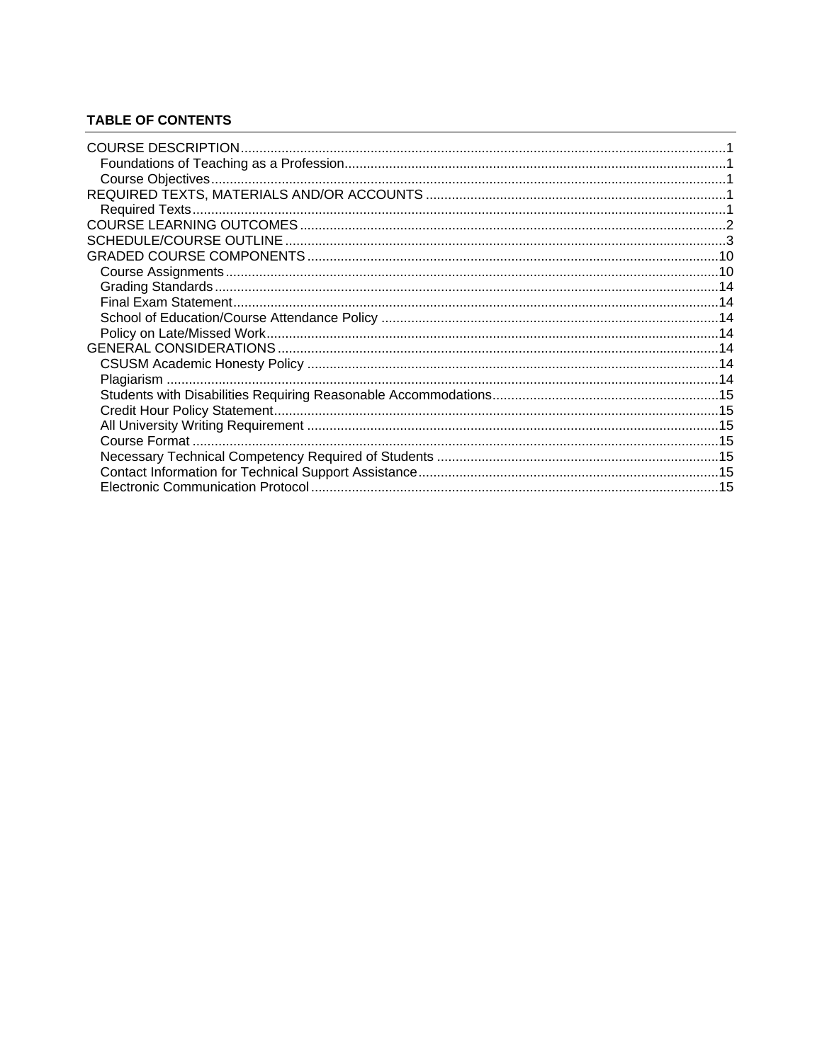# **TABLE OF CONTENTS**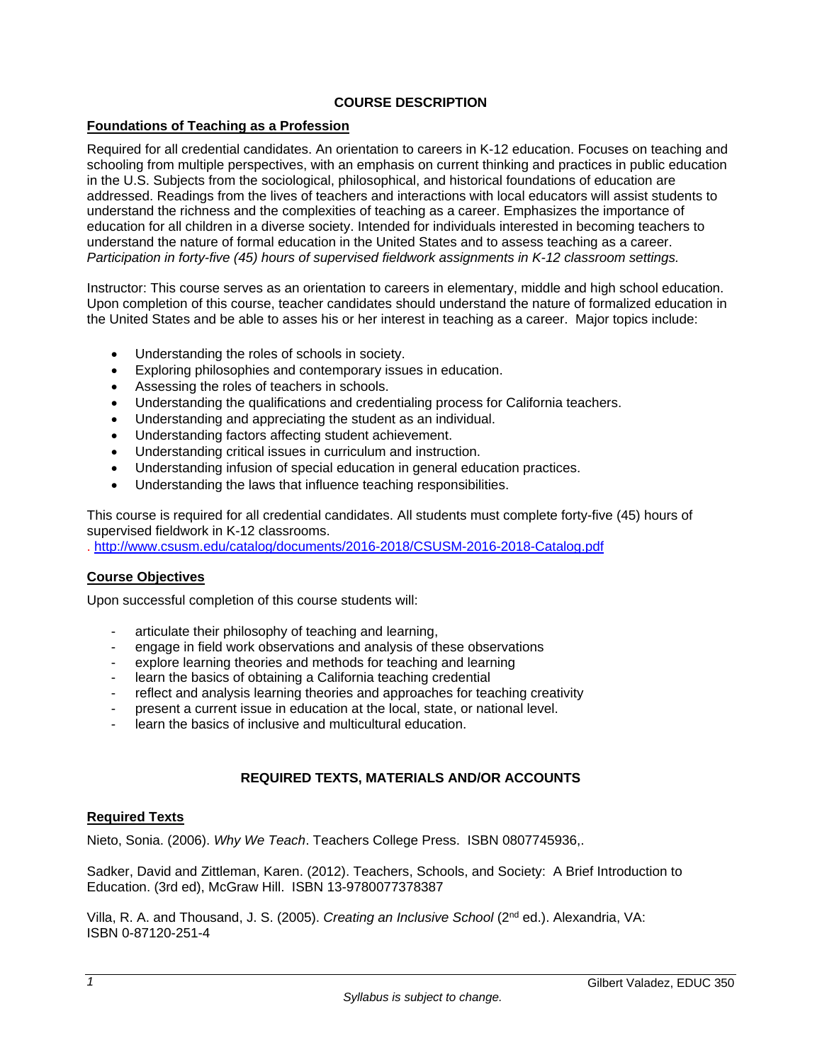# **COURSE DESCRIPTION**

# **Foundations of Teaching as a Profession**

Required for all credential candidates. An orientation to careers in K-12 education. Focuses on teaching and schooling from multiple perspectives, with an emphasis on current thinking and practices in public education in the U.S. Subjects from the sociological, philosophical, and historical foundations of education are addressed. Readings from the lives of teachers and interactions with local educators will assist students to understand the richness and the complexities of teaching as a career. Emphasizes the importance of education for all children in a diverse society. Intended for individuals interested in becoming teachers to understand the nature of formal education in the United States and to assess teaching as a career. *Participation in forty-five (45) hours of supervised fieldwork assignments in K-12 classroom settings.* 

Instructor: This course serves as an orientation to careers in elementary, middle and high school education. Upon completion of this course, teacher candidates should understand the nature of formalized education in the United States and be able to asses his or her interest in teaching as a career. Major topics include:

- Understanding the roles of schools in society.
- Exploring philosophies and contemporary issues in education.
- Assessing the roles of teachers in schools.
- Understanding the qualifications and credentialing process for California teachers.
- Understanding and appreciating the student as an individual.
- Understanding factors affecting student achievement.
- Understanding critical issues in curriculum and instruction.
- Understanding infusion of special education in general education practices.
- Understanding the laws that influence teaching responsibilities.

This course is required for all credential candidates. All students must complete forty-five (45) hours of supervised fieldwork in K-12 classrooms.

. http://www.csusm.edu/catalog/documents/2016-2018/CSUSM-2016-2018-Catalog.pdf

#### **Course Objectives**

Upon successful completion of this course students will:

- articulate their philosophy of teaching and learning,
- engage in field work observations and analysis of these observations
- explore learning theories and methods for teaching and learning
- learn the basics of obtaining a California teaching credential
- reflect and analysis learning theories and approaches for teaching creativity
- present a current issue in education at the local, state, or national level.
- learn the basics of inclusive and multicultural education.

# **REQUIRED TEXTS, MATERIALS AND/OR ACCOUNTS**

#### **Required Texts**

Nieto, Sonia. (2006). *Why We Teach*. Teachers College Press. ISBN 0807745936,.

Sadker, David and Zittleman, Karen. (2012). Teachers, Schools, and Society: A Brief Introduction to Education. (3rd ed), McGraw Hill. ISBN 13-9780077378387

Villa, R. A. and Thousand, J. S. (2005). *Creating an Inclusive School* (2nd ed.). Alexandria, VA: ISBN 0-87120-251-4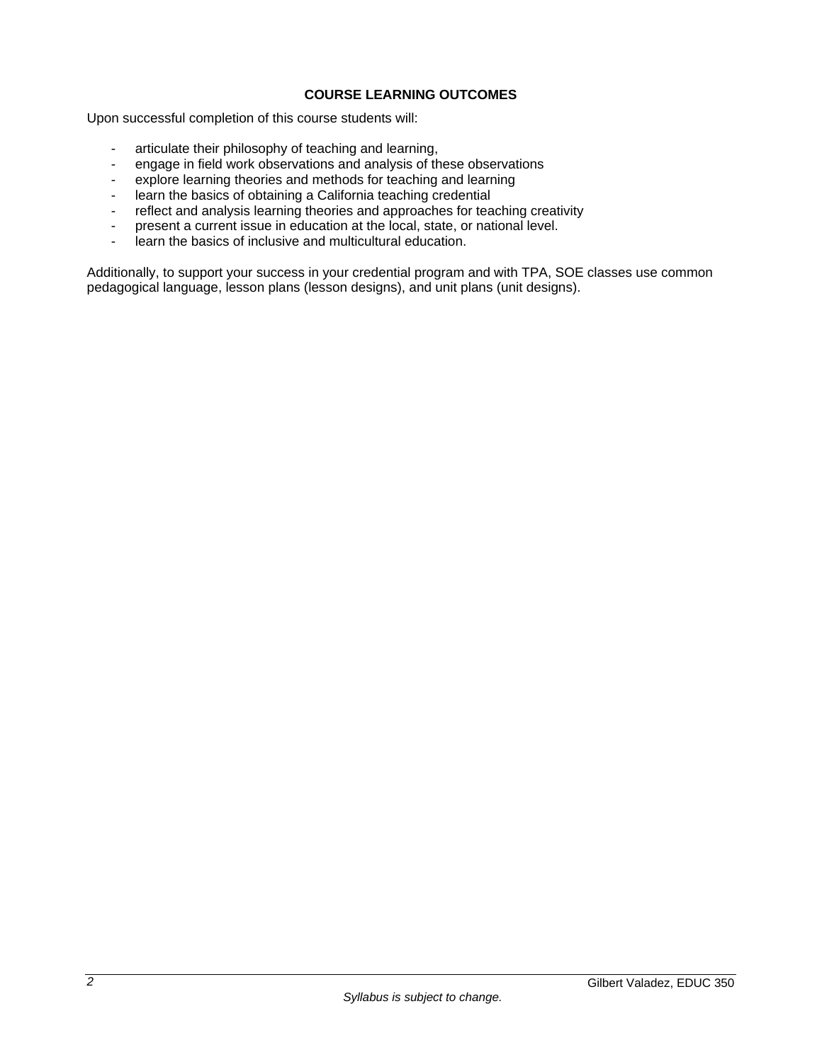# **COURSE LEARNING OUTCOMES**

Upon successful completion of this course students will:

- articulate their philosophy of teaching and learning,<br>- engage in field work observations and analysis of the
- engage in field work observations and analysis of these observations
- explore learning theories and methods for teaching and learning
- learn the basics of obtaining a California teaching credential
- reflect and analysis learning theories and approaches for teaching creativity
- present a current issue in education at the local, state, or national level.
- learn the basics of inclusive and multicultural education.

Additionally, to support your success in your credential program and with TPA, SOE classes use common pedagogical language, lesson plans (lesson designs), and unit plans (unit designs).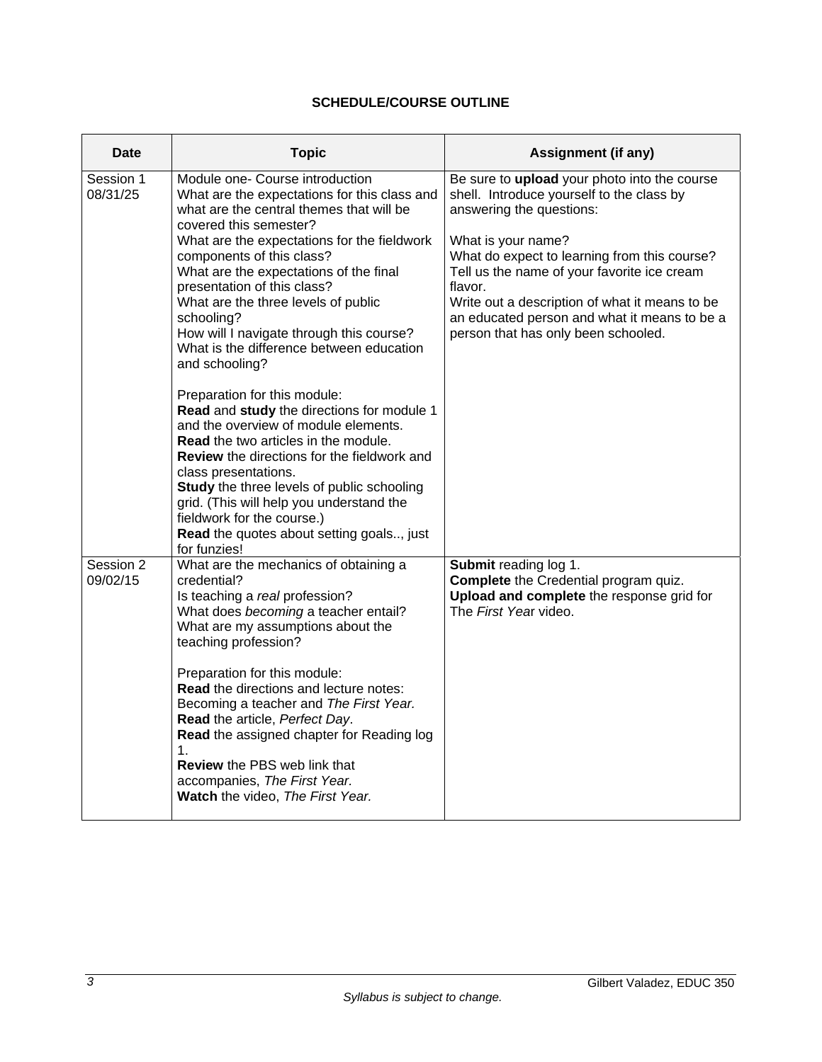# **SCHEDULE/COURSE OUTLINE**

| Date                  | <b>Topic</b>                                                                                                                                                                                                                                                                                                                                                                                                                                                                                                                                                                                                                                                                                                                                                                                                                                                                                                      | <b>Assignment (if any)</b>                                                                                                                                                                                                                                                                                                                                                                     |
|-----------------------|-------------------------------------------------------------------------------------------------------------------------------------------------------------------------------------------------------------------------------------------------------------------------------------------------------------------------------------------------------------------------------------------------------------------------------------------------------------------------------------------------------------------------------------------------------------------------------------------------------------------------------------------------------------------------------------------------------------------------------------------------------------------------------------------------------------------------------------------------------------------------------------------------------------------|------------------------------------------------------------------------------------------------------------------------------------------------------------------------------------------------------------------------------------------------------------------------------------------------------------------------------------------------------------------------------------------------|
| Session 1<br>08/31/25 | Module one- Course introduction<br>What are the expectations for this class and<br>what are the central themes that will be<br>covered this semester?<br>What are the expectations for the fieldwork<br>components of this class?<br>What are the expectations of the final<br>presentation of this class?<br>What are the three levels of public<br>schooling?<br>How will I navigate through this course?<br>What is the difference between education<br>and schooling?<br>Preparation for this module:<br>Read and study the directions for module 1<br>and the overview of module elements.<br><b>Read</b> the two articles in the module.<br><b>Review</b> the directions for the fieldwork and<br>class presentations.<br>Study the three levels of public schooling<br>grid. (This will help you understand the<br>fieldwork for the course.)<br>Read the quotes about setting goals, just<br>for funzies! | Be sure to upload your photo into the course<br>shell. Introduce yourself to the class by<br>answering the questions:<br>What is your name?<br>What do expect to learning from this course?<br>Tell us the name of your favorite ice cream<br>flavor.<br>Write out a description of what it means to be<br>an educated person and what it means to be a<br>person that has only been schooled. |
| Session 2<br>09/02/15 | What are the mechanics of obtaining a<br>credential?<br>Is teaching a real profession?<br>What does becoming a teacher entail?<br>What are my assumptions about the<br>teaching profession?<br>Preparation for this module:<br>Read the directions and lecture notes:<br>Becoming a teacher and The First Year.<br>Read the article, Perfect Day.<br>Read the assigned chapter for Reading log<br>1.<br><b>Review</b> the PBS web link that<br>accompanies, The First Year.<br>Watch the video, The First Year.                                                                                                                                                                                                                                                                                                                                                                                                   | Submit reading log 1.<br>Complete the Credential program quiz.<br>Upload and complete the response grid for<br>The First Year video.                                                                                                                                                                                                                                                           |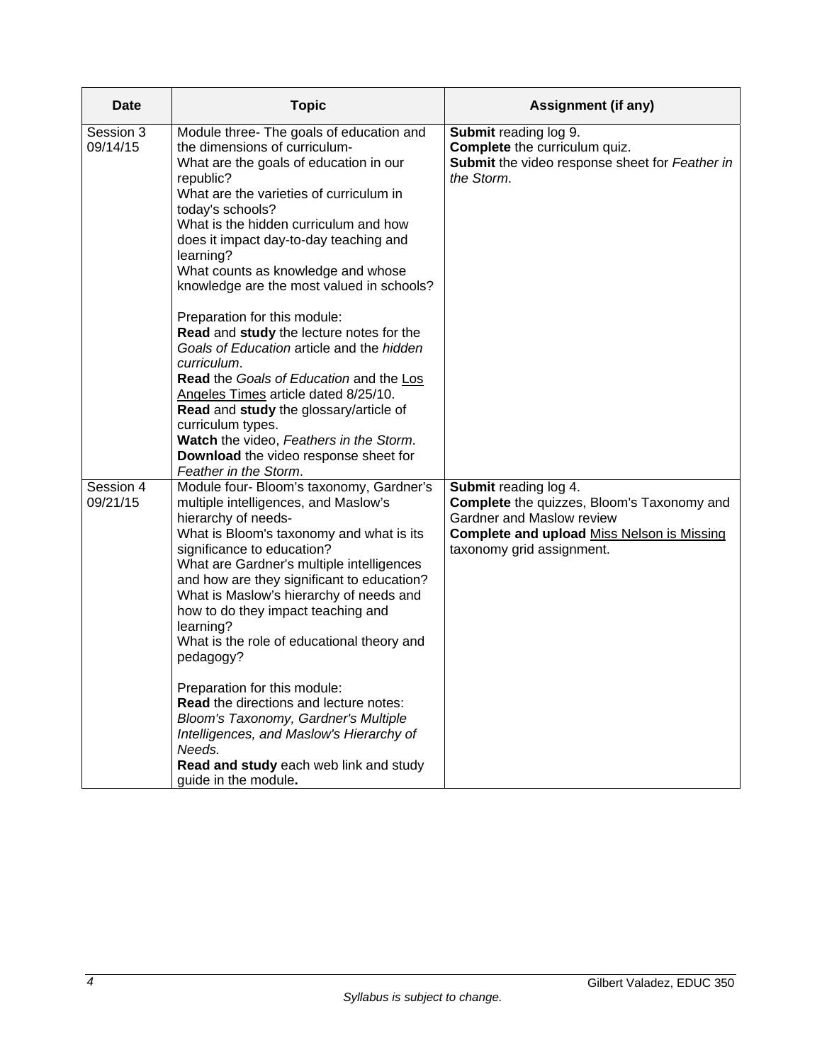| Date                  | <b>Topic</b>                                                                                                                                                                                                                                                                                                                                                                                                                                                                                                                                                                                                                                                                                                                                                                              | <b>Assignment (if any)</b>                                                                                                                                                                |
|-----------------------|-------------------------------------------------------------------------------------------------------------------------------------------------------------------------------------------------------------------------------------------------------------------------------------------------------------------------------------------------------------------------------------------------------------------------------------------------------------------------------------------------------------------------------------------------------------------------------------------------------------------------------------------------------------------------------------------------------------------------------------------------------------------------------------------|-------------------------------------------------------------------------------------------------------------------------------------------------------------------------------------------|
| Session 3<br>09/14/15 | Module three- The goals of education and<br>the dimensions of curriculum-<br>What are the goals of education in our<br>republic?<br>What are the varieties of curriculum in<br>today's schools?<br>What is the hidden curriculum and how<br>does it impact day-to-day teaching and<br>learning?<br>What counts as knowledge and whose<br>knowledge are the most valued in schools?<br>Preparation for this module:<br>Read and study the lecture notes for the<br>Goals of Education article and the hidden<br>curriculum.<br>Read the Goals of Education and the Los<br>Angeles Times article dated 8/25/10.<br>Read and study the glossary/article of<br>curriculum types.<br>Watch the video, Feathers in the Storm.<br>Download the video response sheet for<br>Feather in the Storm. | Submit reading log 9.<br>Complete the curriculum quiz.<br>Submit the video response sheet for Feather in<br>the Storm.                                                                    |
| Session 4<br>09/21/15 | Module four- Bloom's taxonomy, Gardner's<br>multiple intelligences, and Maslow's<br>hierarchy of needs-<br>What is Bloom's taxonomy and what is its<br>significance to education?<br>What are Gardner's multiple intelligences<br>and how are they significant to education?<br>What is Maslow's hierarchy of needs and<br>how to do they impact teaching and<br>learning?<br>What is the role of educational theory and<br>pedagogy?<br>Preparation for this module:<br><b>Read the directions and lecture notes:</b><br>Bloom's Taxonomy, Gardner's Multiple<br>Intelligences, and Maslow's Hierarchy of<br>Needs.<br>Read and study each web link and study<br>guide in the module.                                                                                                    | Submit reading log 4.<br><b>Complete</b> the quizzes, Bloom's Taxonomy and<br>Gardner and Maslow review<br><b>Complete and upload Miss Nelson is Missing</b><br>taxonomy grid assignment. |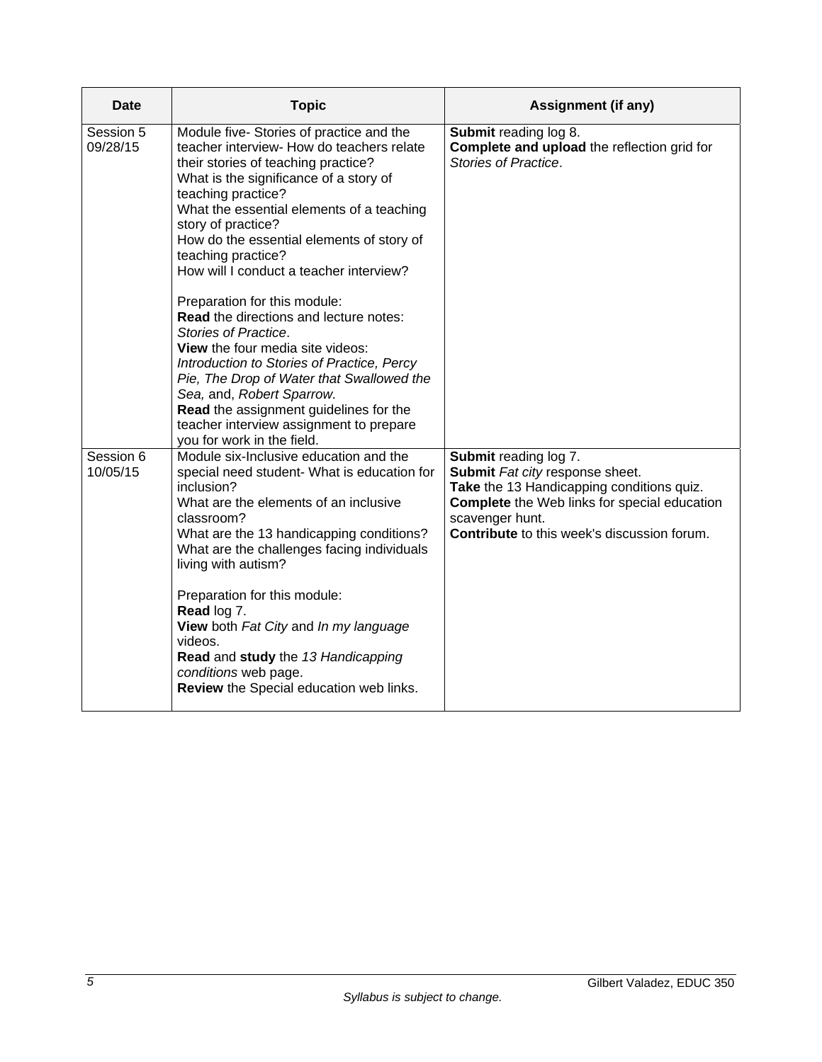| Date                  | <b>Topic</b>                                                                                                                                                                                                                                                                                                                                                                                                                                                                                                                                                                                                                                                                                                                                                                 | Assignment (if any)                                                                                                                                                                                                            |
|-----------------------|------------------------------------------------------------------------------------------------------------------------------------------------------------------------------------------------------------------------------------------------------------------------------------------------------------------------------------------------------------------------------------------------------------------------------------------------------------------------------------------------------------------------------------------------------------------------------------------------------------------------------------------------------------------------------------------------------------------------------------------------------------------------------|--------------------------------------------------------------------------------------------------------------------------------------------------------------------------------------------------------------------------------|
| Session 5<br>09/28/15 | Module five- Stories of practice and the<br>teacher interview- How do teachers relate<br>their stories of teaching practice?<br>What is the significance of a story of<br>teaching practice?<br>What the essential elements of a teaching<br>story of practice?<br>How do the essential elements of story of<br>teaching practice?<br>How will I conduct a teacher interview?<br>Preparation for this module:<br><b>Read the directions and lecture notes:</b><br>Stories of Practice.<br><b>View</b> the four media site videos:<br>Introduction to Stories of Practice, Percy<br>Pie, The Drop of Water that Swallowed the<br>Sea, and, Robert Sparrow.<br>Read the assignment guidelines for the<br>teacher interview assignment to prepare<br>you for work in the field. | Submit reading log 8.<br>Complete and upload the reflection grid for<br>Stories of Practice.                                                                                                                                   |
| Session 6<br>10/05/15 | Module six-Inclusive education and the<br>special need student- What is education for<br>inclusion?<br>What are the elements of an inclusive<br>classroom?<br>What are the 13 handicapping conditions?<br>What are the challenges facing individuals<br>living with autism?<br>Preparation for this module:<br>Read log 7.<br>View both Fat City and In my language<br>videos.<br>Read and study the 13 Handicapping<br>conditions web page.<br>Review the Special education web links.                                                                                                                                                                                                                                                                                      | Submit reading log 7.<br>Submit Fat city response sheet.<br>Take the 13 Handicapping conditions quiz.<br><b>Complete</b> the Web links for special education<br>scavenger hunt.<br>Contribute to this week's discussion forum. |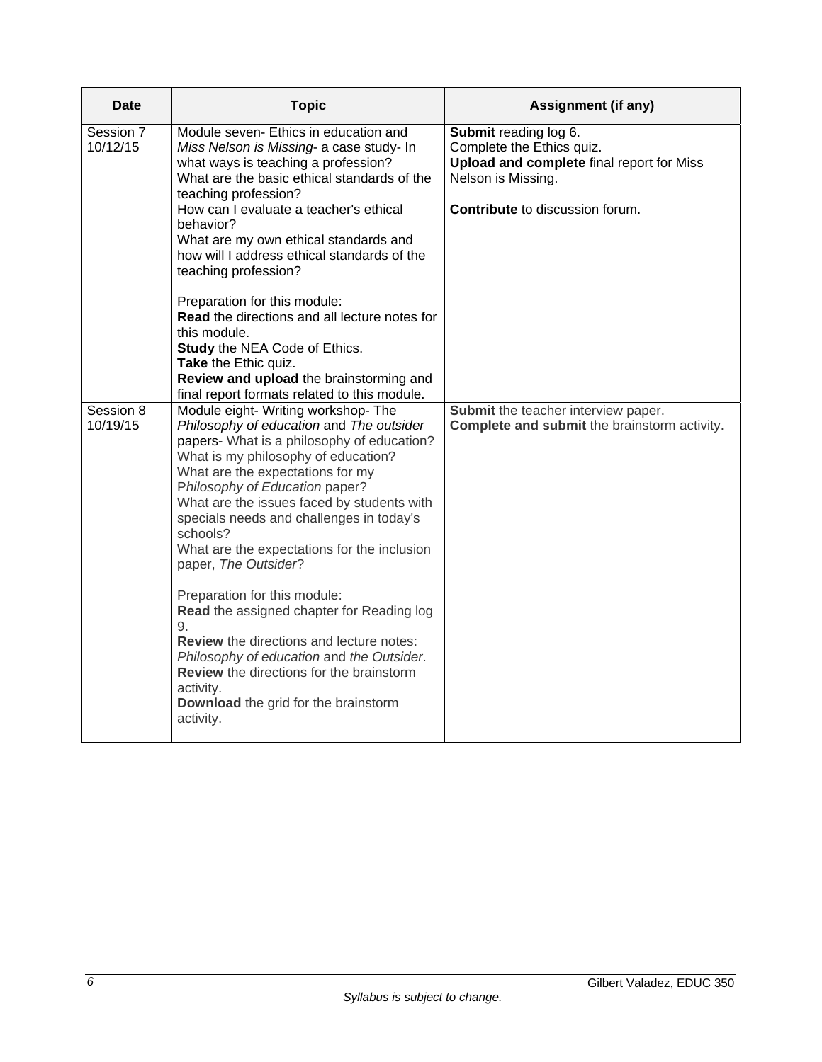| Date                  | <b>Topic</b>                                                                                                                                                                                                                                                                                                                                                                                                            | <b>Assignment (if any)</b>                                                                                                                                      |
|-----------------------|-------------------------------------------------------------------------------------------------------------------------------------------------------------------------------------------------------------------------------------------------------------------------------------------------------------------------------------------------------------------------------------------------------------------------|-----------------------------------------------------------------------------------------------------------------------------------------------------------------|
| Session 7<br>10/12/15 | Module seven- Ethics in education and<br>Miss Nelson is Missing- a case study- In<br>what ways is teaching a profession?<br>What are the basic ethical standards of the<br>teaching profession?<br>How can I evaluate a teacher's ethical<br>hehavior?<br>What are my own ethical standards and<br>how will I address ethical standards of the<br>teaching profession?                                                  | Submit reading log 6.<br>Complete the Ethics quiz.<br>Upload and complete final report for Miss<br>Nelson is Missing.<br><b>Contribute</b> to discussion forum. |
|                       | Preparation for this module:<br><b>Read</b> the directions and all lecture notes for<br>this module.<br><b>Study the NEA Code of Ethics.</b><br>Take the Ethic quiz.<br>Review and upload the brainstorming and<br>final report formats related to this module.                                                                                                                                                         |                                                                                                                                                                 |
| Session 8<br>10/19/15 | Module eight- Writing workshop- The<br>Philosophy of education and The outsider<br>papers- What is a philosophy of education?<br>What is my philosophy of education?<br>What are the expectations for my<br>Philosophy of Education paper?<br>What are the issues faced by students with<br>specials needs and challenges in today's<br>schools?<br>What are the expectations for the inclusion<br>paper, The Outsider? | Submit the teacher interview paper.<br>Complete and submit the brainstorm activity.                                                                             |
|                       | Preparation for this module:<br>Read the assigned chapter for Reading log<br>9.<br><b>Review</b> the directions and lecture notes:<br>Philosophy of education and the Outsider.<br>Review the directions for the brainstorm<br>activity.<br>Download the grid for the brainstorm<br>activity.                                                                                                                           |                                                                                                                                                                 |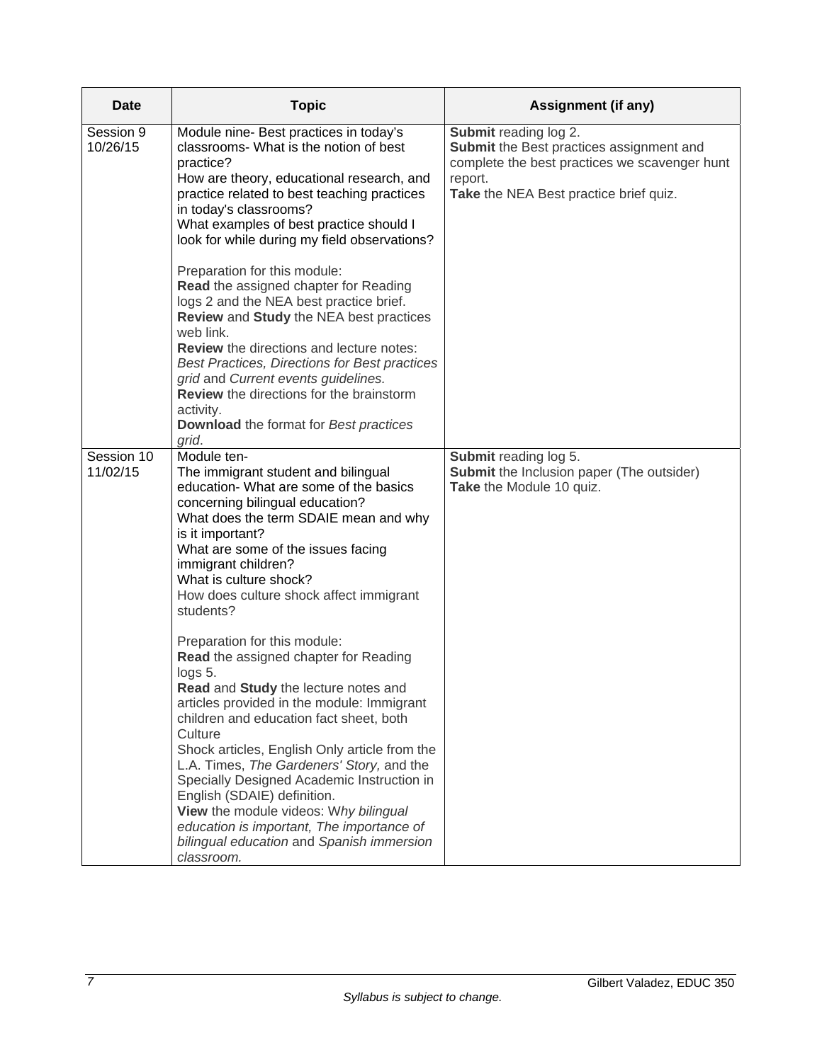| <b>Date</b>            | <b>Topic</b>                                                                                                                                                                                                                                                                                                                                                                                                                                                                                                                                                                                                                                                                                                                                                                                                                                                                                                     | <b>Assignment (if any)</b>                                                                                                                                              |
|------------------------|------------------------------------------------------------------------------------------------------------------------------------------------------------------------------------------------------------------------------------------------------------------------------------------------------------------------------------------------------------------------------------------------------------------------------------------------------------------------------------------------------------------------------------------------------------------------------------------------------------------------------------------------------------------------------------------------------------------------------------------------------------------------------------------------------------------------------------------------------------------------------------------------------------------|-------------------------------------------------------------------------------------------------------------------------------------------------------------------------|
| Session 9<br>10/26/15  | Module nine- Best practices in today's<br>classrooms- What is the notion of best<br>practice?<br>How are theory, educational research, and<br>practice related to best teaching practices<br>in today's classrooms?<br>What examples of best practice should I<br>look for while during my field observations?<br>Preparation for this module:<br>Read the assigned chapter for Reading<br>logs 2 and the NEA best practice brief.<br>Review and Study the NEA best practices<br>web link.<br><b>Review</b> the directions and lecture notes:<br>Best Practices, Directions for Best practices<br>grid and Current events guidelines.<br>Review the directions for the brainstorm<br>activity.<br>Download the format for Best practices                                                                                                                                                                         | Submit reading log 2.<br>Submit the Best practices assignment and<br>complete the best practices we scavenger hunt<br>report.<br>Take the NEA Best practice brief quiz. |
| Session 10<br>11/02/15 | grid.<br>Module ten-<br>The immigrant student and bilingual<br>education- What are some of the basics<br>concerning bilingual education?<br>What does the term SDAIE mean and why<br>is it important?<br>What are some of the issues facing<br>immigrant children?<br>What is culture shock?<br>How does culture shock affect immigrant<br>students?<br>Preparation for this module:<br>Read the assigned chapter for Reading<br>logs 5.<br>Read and Study the lecture notes and<br>articles provided in the module: Immigrant<br>children and education fact sheet, both<br>Culture<br>Shock articles, English Only article from the<br>L.A. Times, The Gardeners' Story, and the<br>Specially Designed Academic Instruction in<br>English (SDAIE) definition.<br>View the module videos: Why bilingual<br>education is important, The importance of<br>bilingual education and Spanish immersion<br>classroom. | Submit reading log 5.<br><b>Submit</b> the Inclusion paper (The outsider)<br>Take the Module 10 quiz.                                                                   |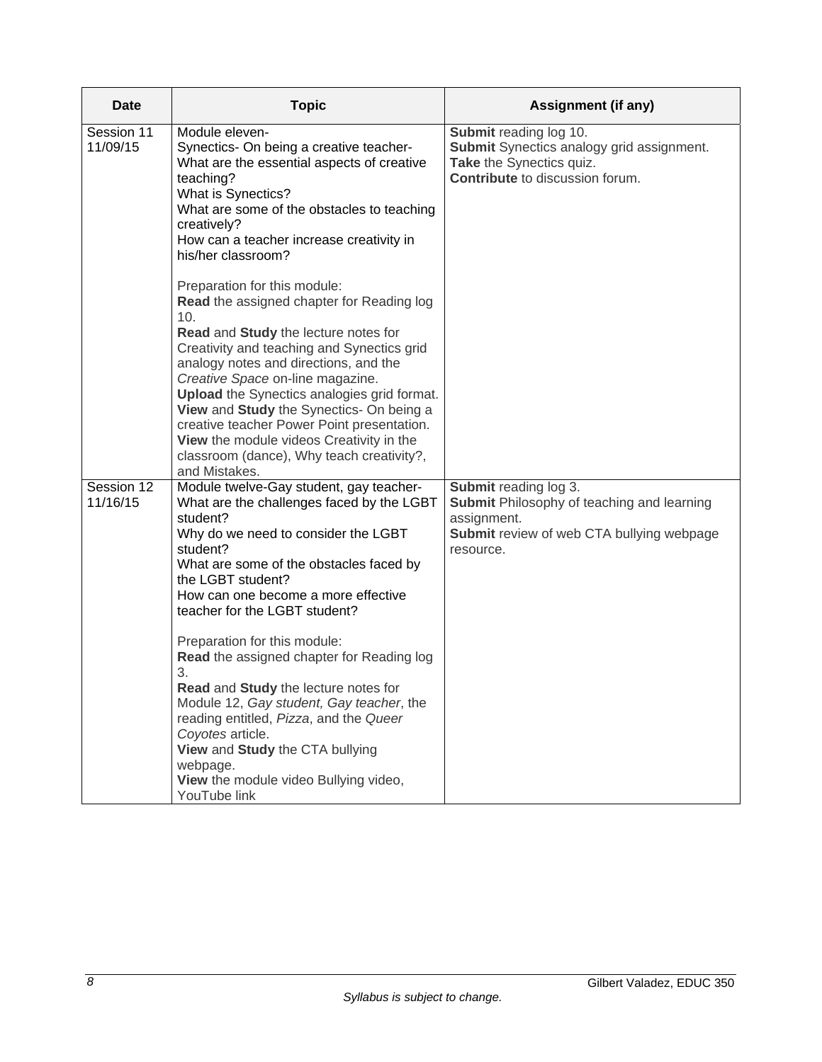| <b>Date</b>            | <b>Topic</b>                                                                                                                                                                                                                                                                                                                                                                                                                                                                                                                                                                                                                                                                                                                                                              | <b>Assignment (if any)</b>                                                                                                                          |
|------------------------|---------------------------------------------------------------------------------------------------------------------------------------------------------------------------------------------------------------------------------------------------------------------------------------------------------------------------------------------------------------------------------------------------------------------------------------------------------------------------------------------------------------------------------------------------------------------------------------------------------------------------------------------------------------------------------------------------------------------------------------------------------------------------|-----------------------------------------------------------------------------------------------------------------------------------------------------|
| Session 11<br>11/09/15 | Module eleven-<br>Synectics- On being a creative teacher-<br>What are the essential aspects of creative<br>teaching?<br>What is Synectics?<br>What are some of the obstacles to teaching<br>creatively?<br>How can a teacher increase creativity in<br>his/her classroom?<br>Preparation for this module:<br>Read the assigned chapter for Reading log<br>10.<br>Read and Study the lecture notes for<br>Creativity and teaching and Synectics grid<br>analogy notes and directions, and the<br>Creative Space on-line magazine.<br><b>Upload</b> the Synectics analogies grid format.<br>View and Study the Synectics- On being a<br>creative teacher Power Point presentation.<br>View the module videos Creativity in the<br>classroom (dance), Why teach creativity?, | Submit reading log 10.<br>Submit Synectics analogy grid assignment.<br>Take the Synectics quiz.<br><b>Contribute</b> to discussion forum.           |
| Session 12<br>11/16/15 | and Mistakes.<br>Module twelve-Gay student, gay teacher-<br>What are the challenges faced by the LGBT<br>student?<br>Why do we need to consider the LGBT<br>student?<br>What are some of the obstacles faced by<br>the LGBT student?<br>How can one become a more effective<br>teacher for the LGBT student?<br>Preparation for this module:<br>Read the assigned chapter for Reading log<br>3.<br>Read and Study the lecture notes for<br>Module 12, Gay student, Gay teacher, the<br>reading entitled, Pizza, and the Queer<br>Coyotes article.<br>View and Study the CTA bullying<br>webpage.<br>View the module video Bullying video,<br>YouTube link                                                                                                                 | Submit reading log 3.<br><b>Submit Philosophy of teaching and learning</b><br>assignment.<br>Submit review of web CTA bullying webpage<br>resource. |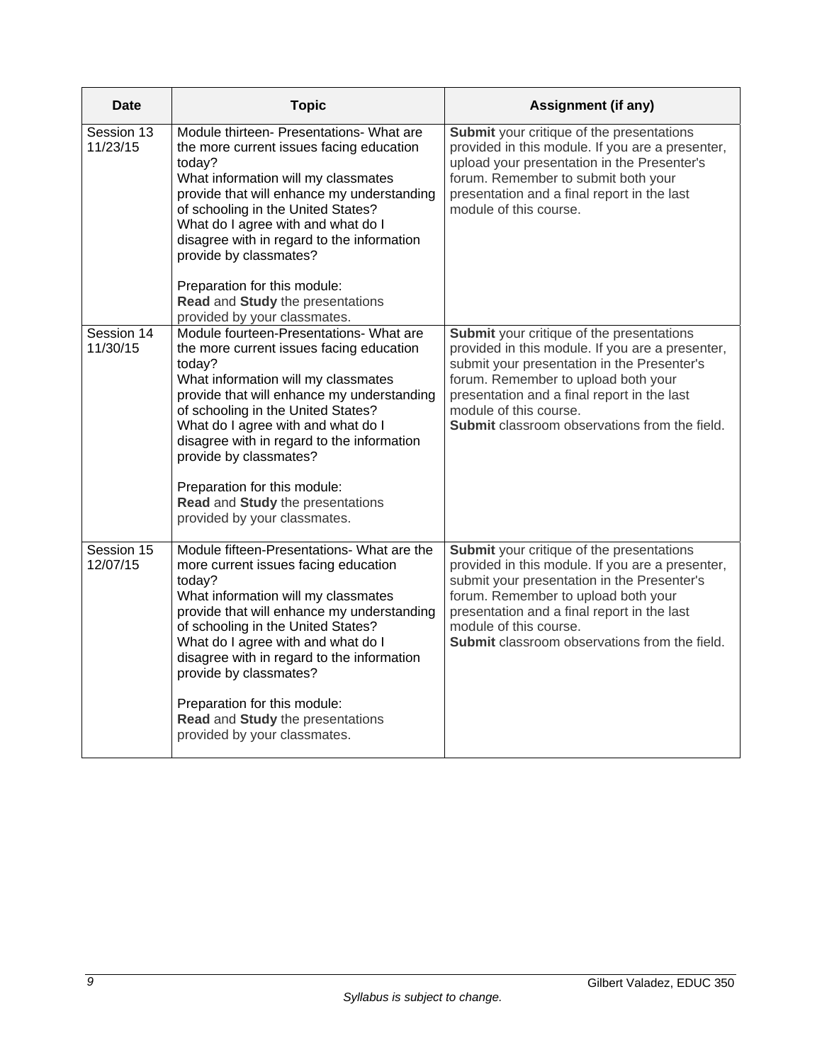| Date                   | <b>Topic</b>                                                                                                                                                                                                                                                                                                                                                                                                                                | <b>Assignment (if any)</b>                                                                                                                                                                                                                                                                                           |
|------------------------|---------------------------------------------------------------------------------------------------------------------------------------------------------------------------------------------------------------------------------------------------------------------------------------------------------------------------------------------------------------------------------------------------------------------------------------------|----------------------------------------------------------------------------------------------------------------------------------------------------------------------------------------------------------------------------------------------------------------------------------------------------------------------|
| Session 13<br>11/23/15 | Module thirteen- Presentations- What are<br>the more current issues facing education<br>today?<br>What information will my classmates<br>provide that will enhance my understanding<br>of schooling in the United States?<br>What do I agree with and what do I<br>disagree with in regard to the information<br>provide by classmates?<br>Preparation for this module:<br>Read and Study the presentations<br>provided by your classmates. | Submit your critique of the presentations<br>provided in this module. If you are a presenter,<br>upload your presentation in the Presenter's<br>forum. Remember to submit both your<br>presentation and a final report in the last<br>module of this course.                                                         |
| Session 14<br>11/30/15 | Module fourteen-Presentations- What are<br>the more current issues facing education<br>today?<br>What information will my classmates<br>provide that will enhance my understanding<br>of schooling in the United States?<br>What do I agree with and what do I<br>disagree with in regard to the information<br>provide by classmates?<br>Preparation for this module:<br>Read and Study the presentations<br>provided by your classmates.  | Submit your critique of the presentations<br>provided in this module. If you are a presenter,<br>submit your presentation in the Presenter's<br>forum. Remember to upload both your<br>presentation and a final report in the last<br>module of this course.<br><b>Submit</b> classroom observations from the field. |
| Session 15<br>12/07/15 | Module fifteen-Presentations- What are the<br>more current issues facing education<br>today?<br>What information will my classmates<br>provide that will enhance my understanding<br>of schooling in the United States?<br>What do I agree with and what do I<br>disagree with in regard to the information<br>provide by classmates?<br>Preparation for this module:<br>Read and Study the presentations<br>provided by your classmates.   | Submit your critique of the presentations<br>provided in this module. If you are a presenter,<br>submit your presentation in the Presenter's<br>forum. Remember to upload both your<br>presentation and a final report in the last<br>module of this course.<br>Submit classroom observations from the field.        |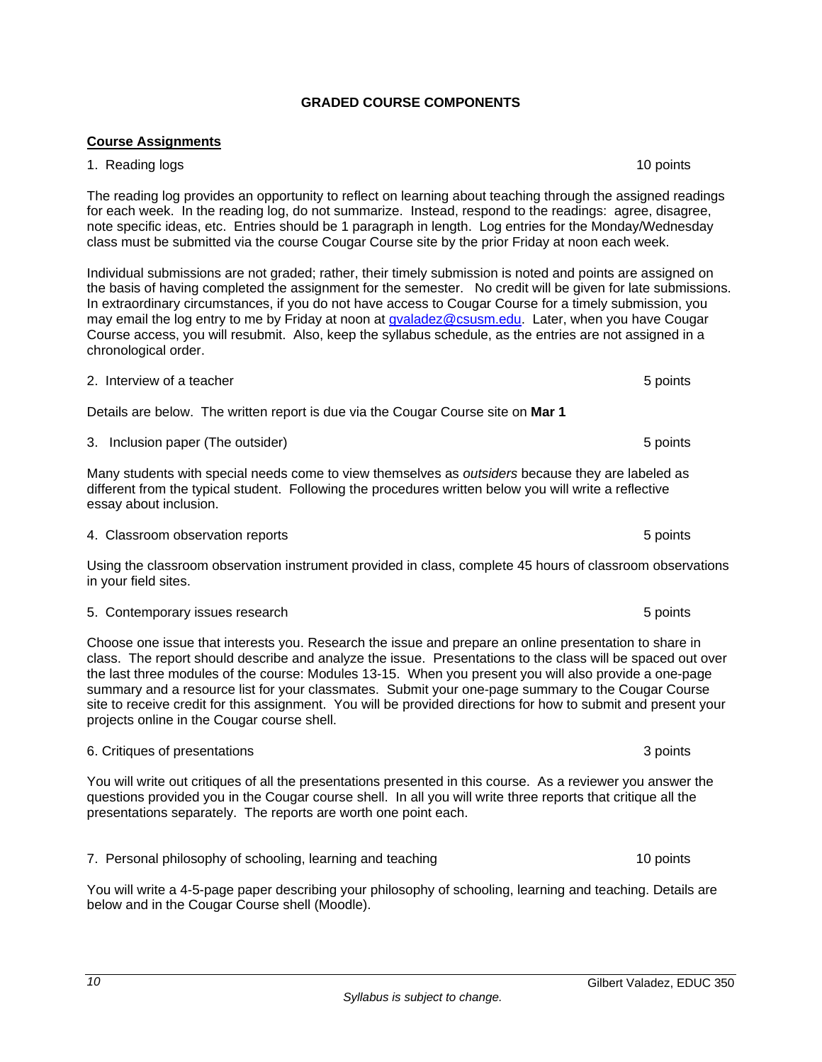# **GRADED COURSE COMPONENTS**

# **Course Assignments**

#### 1. Reading logs 10 points 10 points 10 points 10 points 10 points 10 points 10 points 10 points 10 points 10 points 10 points 10 points 10 points 10 points 10 points 10 points 10 points 10 points 10 points 10 points 10 poi

The reading log provides an opportunity to reflect on learning about teaching through the assigned readings for each week. In the reading log, do not summarize. Instead, respond to the readings: agree, disagree, note specific ideas, etc. Entries should be 1 paragraph in length. Log entries for the Monday/Wednesday class must be submitted via the course Cougar Course site by the prior Friday at noon each week.

Individual submissions are not graded; rather, their timely submission is noted and points are assigned on the basis of having completed the assignment for the semester. No credit will be given for late submissions. In extraordinary circumstances, if you do not have access to Cougar Course for a timely submission, you may email the log entry to me by Friday at noon at gvaladez@csusm.edu. Later, when you have Cougar Course access, you will resubmit. Also, keep the syllabus schedule, as the entries are not assigned in a chronological order.

2. Interview of a teacher **5** points **1.1** and 2.1 and 2.1 and 3.1 and 3.1 and 3.1 and 3.1 and 3.1 and 3.1 and 3.1 and 3.1 and 3.1 and 3.1 and 3.1 and 3.1 and 3.1 and 3.1 and 3.1 and 3.1 and 3.1 and 3.1 and 3.1 and 3.1 and

Details are below. The written report is due via the Cougar Course site on **Mar 1**

3. Inclusion paper (The outsider) 3. Inclusion paper (The outsider) 6 points

Many students with special needs come to view themselves as *outsiders* because they are labeled as different from the typical student. Following the procedures written below you will write a reflective essay about inclusion.

4. Classroom observation reports 5 points

Using the classroom observation instrument provided in class, complete 45 hours of classroom observations in your field sites.

5. Contemporary issues research 5 points of the state of the state of the state of the state of the state of the state of the state of the state of the state of the state of the state of the state of the state of the state

Choose one issue that interests you. Research the issue and prepare an online presentation to share in class. The report should describe and analyze the issue. Presentations to the class will be spaced out over the last three modules of the course: Modules 13-15. When you present you will also provide a one-page summary and a resource list for your classmates. Submit your one-page summary to the Cougar Course site to receive credit for this assignment. You will be provided directions for how to submit and present your projects online in the Cougar course shell.

# 6. Critiques of presentations 3 points

*10* 

You will write out critiques of all the presentations presented in this course. As a reviewer you answer the questions provided you in the Cougar course shell. In all you will write three reports that critique all the presentations separately. The reports are worth one point each.

7. Personal philosophy of schooling, learning and teaching 10 points 10 points

You will write a 4-5-page paper describing your philosophy of schooling, learning and teaching. Details are below and in the Cougar Course shell (Moodle).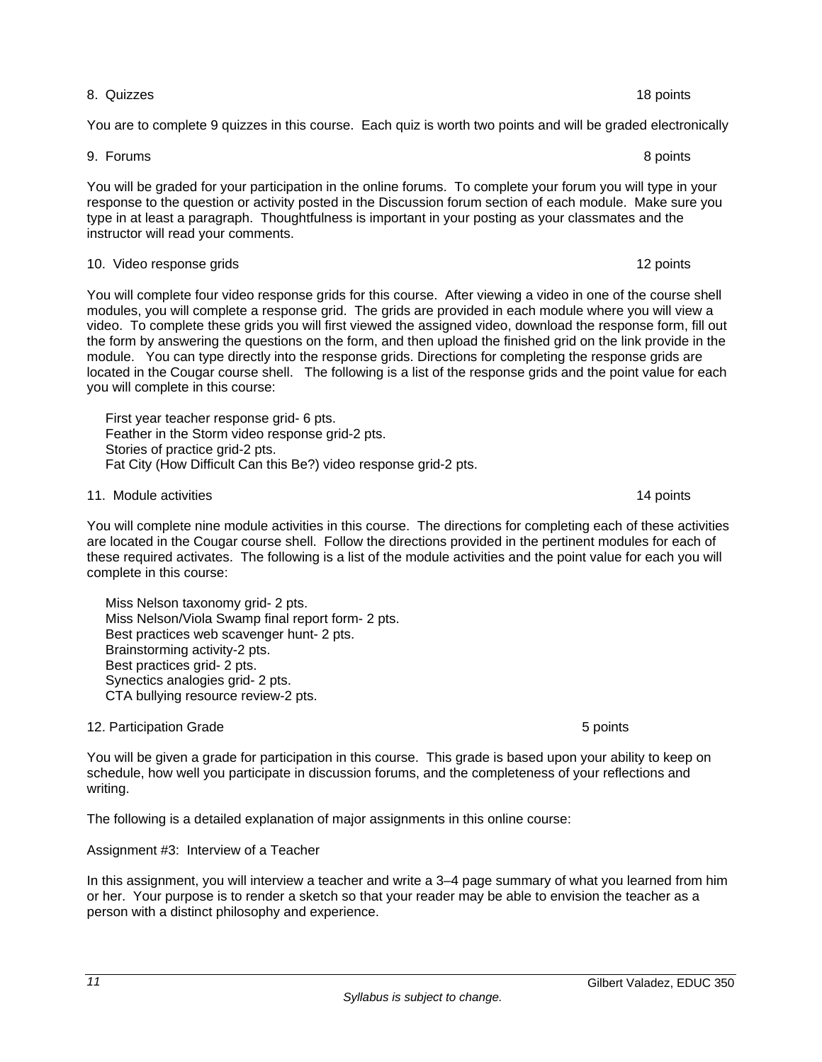#### 8. Quizzes 18 points

You are to complete 9 quizzes in this course. Each quiz is worth two points and will be graded electronically

9. Forums 8 points

You will be graded for your participation in the online forums. To complete your forum you will type in your response to the question or activity posted in the Discussion forum section of each module. Make sure you type in at least a paragraph. Thoughtfulness is important in your posting as your classmates and the instructor will read your comments.

#### 10. Video response grids 12 points 12 points 12 points 12 points 12 points 12 points 12 points 12 points 12 points 12 points 12 points 12 points 12 points 12 points 12 points 12 points 12 points 12 points 12 points 12 poin

You will complete four video response grids for this course. After viewing a video in one of the course shell modules, you will complete a response grid. The grids are provided in each module where you will view a video. To complete these grids you will first viewed the assigned video, download the response form, fill out the form by answering the questions on the form, and then upload the finished grid on the link provide in the module. You can type directly into the response grids. Directions for completing the response grids are located in the Cougar course shell. The following is a list of the response grids and the point value for each you will complete in this course:

 First year teacher response grid- 6 pts. Feather in the Storm video response grid-2 pts. Stories of practice grid-2 pts. Fat City (How Difficult Can this Be?) video response grid-2 pts.

11. Module activities **14 points** 14 points 14 points 14 points 14 points 14 points 14 points 14 points 14 points

You will complete nine module activities in this course. The directions for completing each of these activities are located in the Cougar course shell. Follow the directions provided in the pertinent modules for each of these required activates. The following is a list of the module activities and the point value for each you will complete in this course:

 Miss Nelson taxonomy grid- 2 pts. Miss Nelson/Viola Swamp final report form- 2 pts. Best practices web scavenger hunt- 2 pts. Brainstorming activity-2 pts. Best practices grid- 2 pts. Synectics analogies grid- 2 pts. CTA bullying resource review-2 pts.

12. Participation Grade 6 points and the set of the set of the set of the set of the set of the set of the set o

*11* 

You will be given a grade for participation in this course. This grade is based upon your ability to keep on schedule, how well you participate in discussion forums, and the completeness of your reflections and writing.

The following is a detailed explanation of major assignments in this online course:

# Assignment #3: Interview of a Teacher

In this assignment, you will interview a teacher and write a 3–4 page summary of what you learned from him or her. Your purpose is to render a sketch so that your reader may be able to envision the teacher as a person with a distinct philosophy and experience.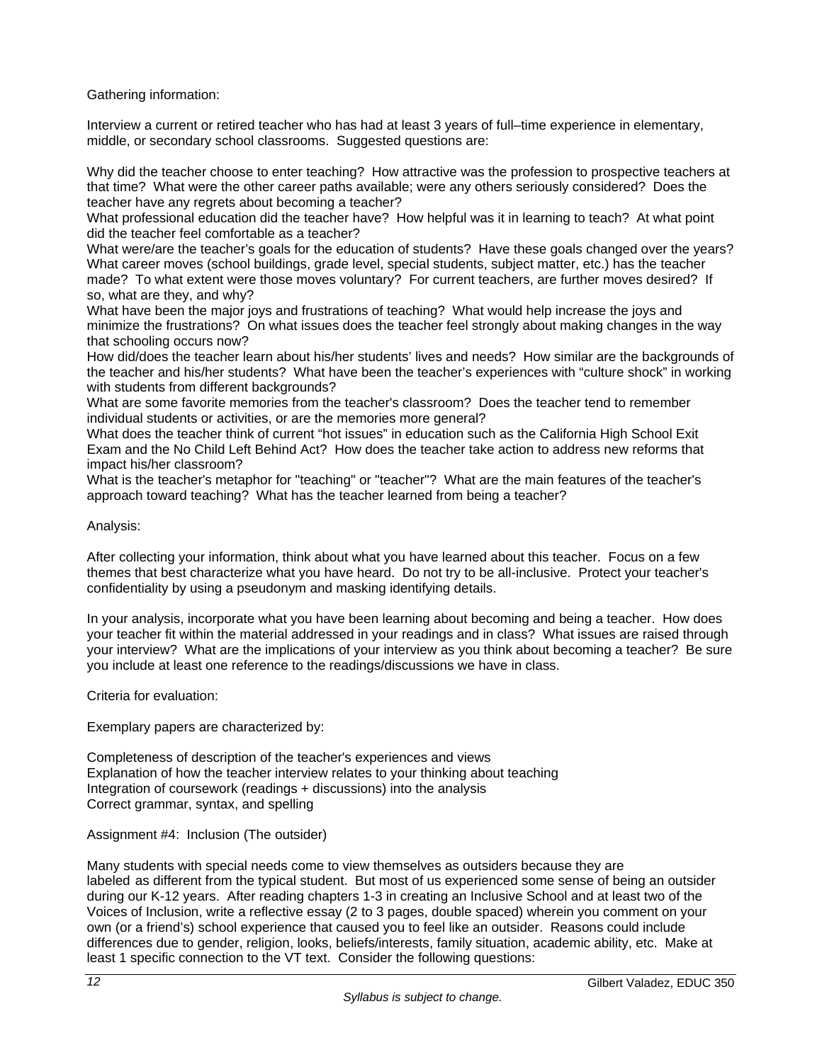Gathering information:

Interview a current or retired teacher who has had at least 3 years of full–time experience in elementary, middle, or secondary school classrooms. Suggested questions are:

Why did the teacher choose to enter teaching? How attractive was the profession to prospective teachers at that time? What were the other career paths available; were any others seriously considered? Does the teacher have any regrets about becoming a teacher?

What professional education did the teacher have? How helpful was it in learning to teach? At what point did the teacher feel comfortable as a teacher?

What were/are the teacher's goals for the education of students? Have these goals changed over the years? What career moves (school buildings, grade level, special students, subject matter, etc.) has the teacher made? To what extent were those moves voluntary? For current teachers, are further moves desired? If so, what are they, and why?

What have been the major joys and frustrations of teaching? What would help increase the joys and minimize the frustrations? On what issues does the teacher feel strongly about making changes in the way that schooling occurs now?

How did/does the teacher learn about his/her students' lives and needs? How similar are the backgrounds of the teacher and his/her students? What have been the teacher's experiences with "culture shock" in working with students from different backgrounds?

What are some favorite memories from the teacher's classroom? Does the teacher tend to remember individual students or activities, or are the memories more general?

What does the teacher think of current "hot issues" in education such as the California High School Exit Exam and the No Child Left Behind Act? How does the teacher take action to address new reforms that impact his/her classroom?

What is the teacher's metaphor for "teaching" or "teacher"? What are the main features of the teacher's approach toward teaching? What has the teacher learned from being a teacher?

Analysis:

After collecting your information, think about what you have learned about this teacher. Focus on a few themes that best characterize what you have heard. Do not try to be all-inclusive. Protect your teacher's confidentiality by using a pseudonym and masking identifying details.

In your analysis, incorporate what you have been learning about becoming and being a teacher. How does your teacher fit within the material addressed in your readings and in class? What issues are raised through your interview? What are the implications of your interview as you think about becoming a teacher? Be sure you include at least one reference to the readings/discussions we have in class.

Criteria for evaluation:

Exemplary papers are characterized by:

Completeness of description of the teacher's experiences and views Explanation of how the teacher interview relates to your thinking about teaching Integration of coursework (readings + discussions) into the analysis Correct grammar, syntax, and spelling

Assignment #4: Inclusion (The outsider)

Many students with special needs come to view themselves as outsiders because they are labeled as different from the typical student. But most of us experienced some sense of being an outsider during our K-12 years. After reading chapters 1-3 in creating an Inclusive School and at least two of the Voices of Inclusion, write a reflective essay (2 to 3 pages, double spaced) wherein you comment on your own (or a friend's) school experience that caused you to feel like an outsider. Reasons could include differences due to gender, religion, looks, beliefs/interests, family situation, academic ability, etc. Make at least 1 specific connection to the VT text. Consider the following questions: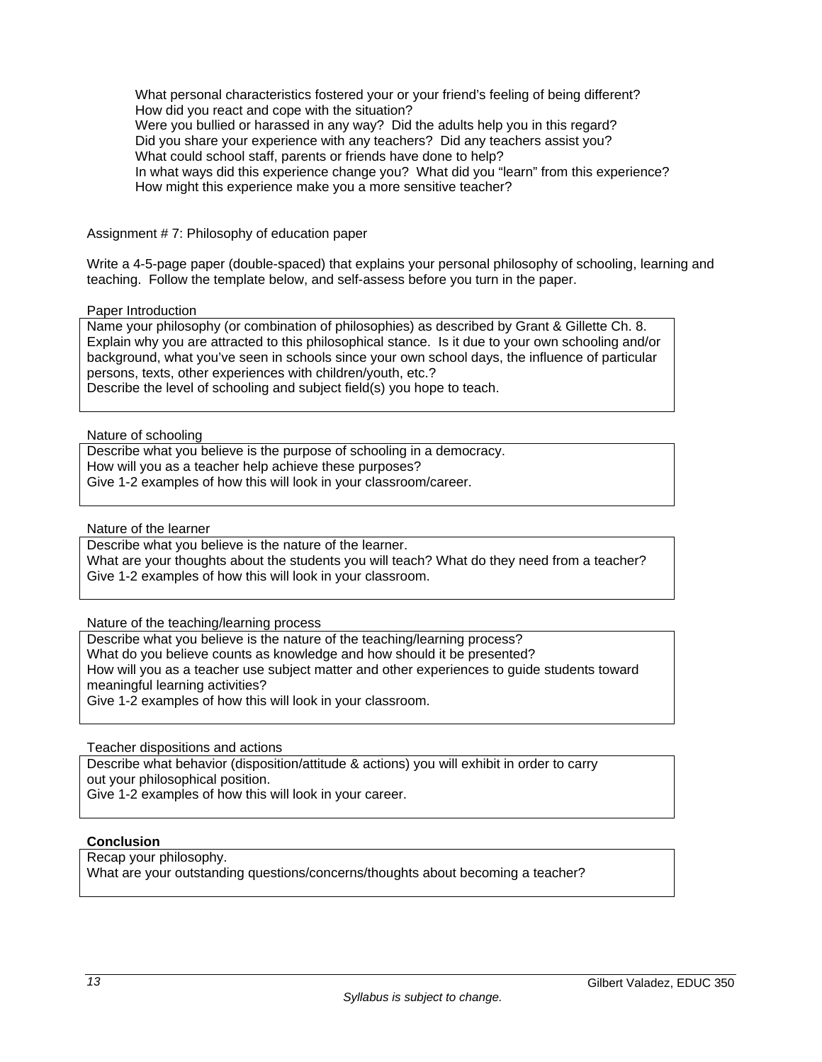What personal characteristics fostered your or your friend's feeling of being different? How did you react and cope with the situation? Were you bullied or harassed in any way? Did the adults help you in this regard? Did you share your experience with any teachers? Did any teachers assist you? What could school staff, parents or friends have done to help? In what ways did this experience change you? What did you "learn" from this experience? How might this experience make you a more sensitive teacher?

Assignment # 7: Philosophy of education paper

Write a 4-5-page paper (double-spaced) that explains your personal philosophy of schooling, learning and teaching. Follow the template below, and self-assess before you turn in the paper.

Paper Introduction

Name your philosophy (or combination of philosophies) as described by Grant & Gillette Ch. 8. Explain why you are attracted to this philosophical stance. Is it due to your own schooling and/or background, what you've seen in schools since your own school days, the influence of particular persons, texts, other experiences with children/youth, etc.? Describe the level of schooling and subject field(s) you hope to teach.

Nature of schooling

Describe what you believe is the purpose of schooling in a democracy. How will you as a teacher help achieve these purposes? Give 1-2 examples of how this will look in your classroom/career.

Nature of the learner

Describe what you believe is the nature of the learner. What are your thoughts about the students you will teach? What do they need from a teacher? Give 1-2 examples of how this will look in your classroom.

Nature of the teaching/learning process

Describe what you believe is the nature of the teaching/learning process?

What do you believe counts as knowledge and how should it be presented?

How will you as a teacher use subject matter and other experiences to guide students toward meaningful learning activities?

Give 1-2 examples of how this will look in your classroom.

Teacher dispositions and actions

Describe what behavior (disposition/attitude & actions) you will exhibit in order to carry out your philosophical position.

Give 1-2 examples of how this will look in your career.

# **Conclusion**

Recap your philosophy.

What are your outstanding questions/concerns/thoughts about becoming a teacher?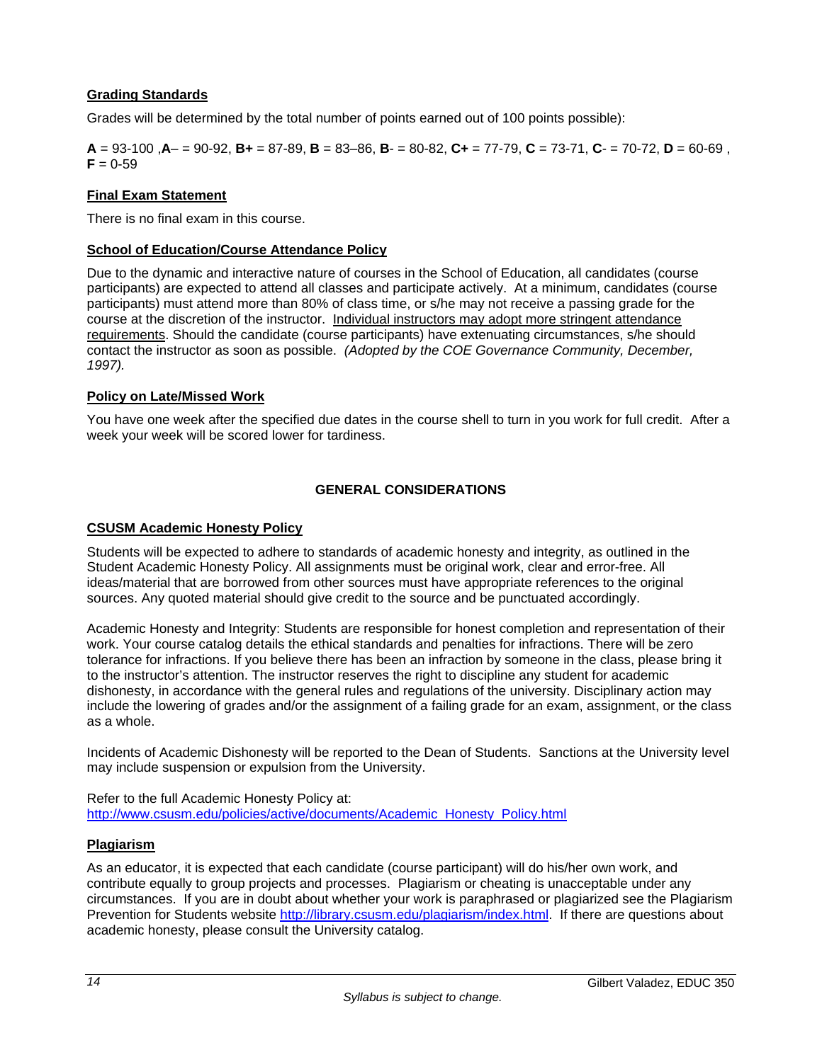# **Grading Standards**

Grades will be determined by the total number of points earned out of 100 points possible):

**A** = 93-100 ,**A**– = 90-92, **B+** = 87-89, **B** = 83–86, **B**- = 80-82, **C+** = 77-79, **C** = 73-71, **C**- = 70-72, **D** = 60-69 ,  $F = 0.59$ 

# **Final Exam Statement**

There is no final exam in this course.

# **School of Education/Course Attendance Policy**

Due to the dynamic and interactive nature of courses in the School of Education, all candidates (course participants) are expected to attend all classes and participate actively. At a minimum, candidates (course participants) must attend more than 80% of class time, or s/he may not receive a passing grade for the course at the discretion of the instructor. Individual instructors may adopt more stringent attendance requirements. Should the candidate (course participants) have extenuating circumstances, s/he should contact the instructor as soon as possible. *(Adopted by the COE Governance Community, December, 1997).*

#### **Policy on Late/Missed Work**

You have one week after the specified due dates in the course shell to turn in you work for full credit. After a week your week will be scored lower for tardiness.

#### **GENERAL CONSIDERATIONS**

#### **CSUSM Academic Honesty Policy**

Students will be expected to adhere to standards of academic honesty and integrity, as outlined in the Student Academic Honesty Policy. All assignments must be original work, clear and error-free. All ideas/material that are borrowed from other sources must have appropriate references to the original sources. Any quoted material should give credit to the source and be punctuated accordingly.

Academic Honesty and Integrity: Students are responsible for honest completion and representation of their work. Your course catalog details the ethical standards and penalties for infractions. There will be zero tolerance for infractions. If you believe there has been an infraction by someone in the class, please bring it to the instructor's attention. The instructor reserves the right to discipline any student for academic dishonesty, in accordance with the general rules and regulations of the university. Disciplinary action may include the lowering of grades and/or the assignment of a failing grade for an exam, assignment, or the class as a whole.

Incidents of Academic Dishonesty will be reported to the Dean of Students. Sanctions at the University level may include suspension or expulsion from the University.

Refer to the full Academic Honesty Policy at: http://www.csusm.edu/policies/active/documents/Academic\_Honesty\_Policy.html

#### **Plagiarism**

As an educator, it is expected that each candidate (course participant) will do his/her own work, and contribute equally to group projects and processes. Plagiarism or cheating is unacceptable under any circumstances. If you are in doubt about whether your work is paraphrased or plagiarized see the Plagiarism Prevention for Students website http://library.csusm.edu/plagiarism/index.html. If there are questions about academic honesty, please consult the University catalog.